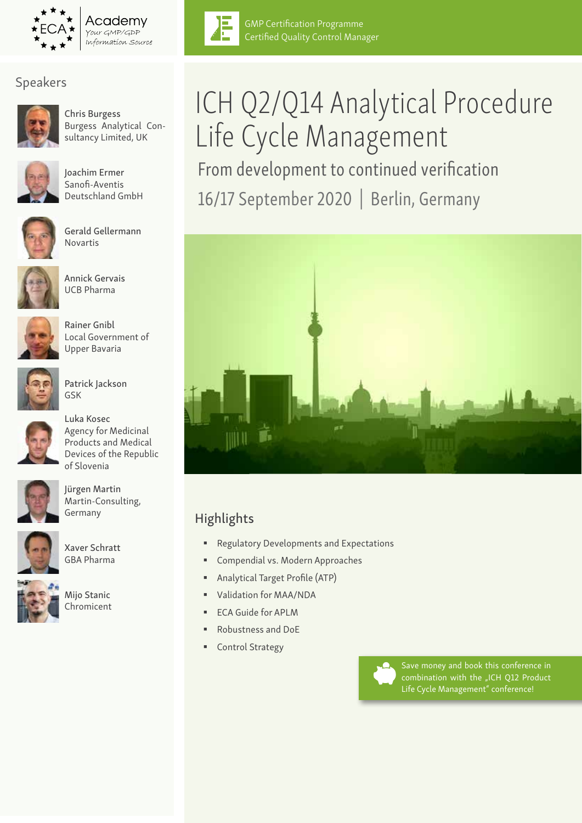

Academv Your GMP/GDP Information Source

### Speakers



Chris Burgess Burgess Analytical Consultancy Limited, UK



Joachim Ermer Sanofi-Aventis Deutschland GmbH



Gerald Gellermann Novartis



Annick Gervais UCB Pharma



Rainer Gnibl Local Government of Upper Bavaria



Patrick Jackson GSK



Luka Kosec Agency for Medicinal Products and Medical Devices of the Republic of Slovenia



Jürgen Martin Martin-Consulting, Germany



Xaver Schratt GBA Pharma



Mijo Stanic Chromicent



GMP Certification Programme Certified Quality Control Manager

# ICH Q2/Q14 Analytical Procedure Life Cycle Management From development to continued verification 16/17 September 2020 | Berlin, Germany



### Highlights

- **Regulatory Developments and Expectations**
- Compendial vs. Modern Approaches
- Analytical Target Profile (ATP)
- Validation for MAA/NDA
- ECA Guide for APLM
- Robustness and DoE
- Control Strategy



Save money and book this conference in combination with the "ICH Q12 Product Life Cycle Management" conference!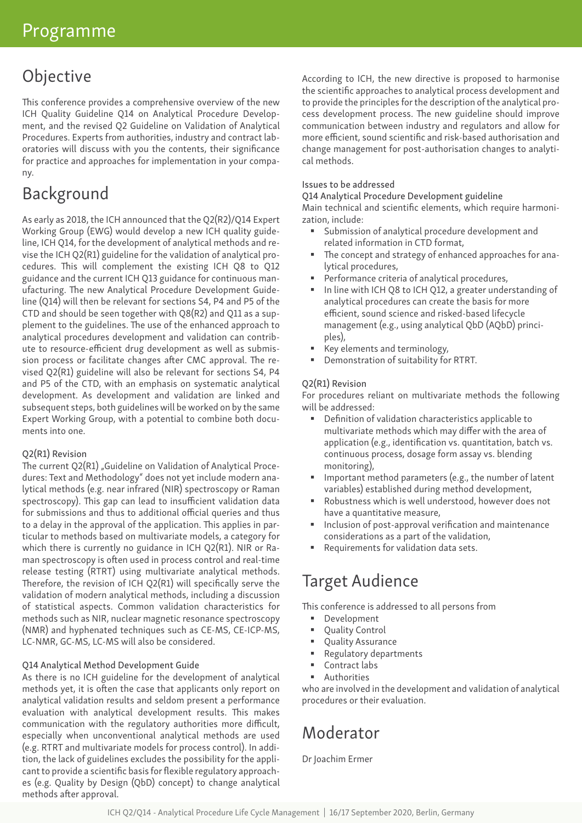# Objective

This conference provides a comprehensive overview of the new ICH Quality Guideline Q14 on Analytical Procedure Development, and the revised Q2 Guideline on Validation of Analytical Procedures. Experts from authorities, industry and contract laboratories will discuss with you the contents, their significance for practice and approaches for implementation in your company.

# Background

As early as 2018, the ICH announced that the Q2(R2)/Q14 Expert Working Group (EWG) would develop a new ICH quality guideline, ICH Q14, for the development of analytical methods and revise the ICH Q2(R1) guideline for the validation of analytical procedures. This will complement the existing ICH Q8 to Q12 guidance and the current ICH Q13 guidance for continuous manufacturing. The new Analytical Procedure Development Guideline (Q14) will then be relevant for sections S4, P4 and P5 of the CTD and should be seen together with Q8(R2) and Q11 as a supplement to the guidelines. The use of the enhanced approach to analytical procedures development and validation can contribute to resource-efficient drug development as well as submission process or facilitate changes after CMC approval. The revised Q2(R1) guideline will also be relevant for sections S4, P4 and P5 of the CTD, with an emphasis on systematic analytical development. As development and validation are linked and subsequent steps, both guidelines will be worked on by the same Expert Working Group, with a potential to combine both documents into one.

#### Q2(R1) Revision

The current O2(R1) "Guideline on Validation of Analytical Procedures: Text and Methodology" does not yet include modern analytical methods (e.g. near infrared (NIR) spectroscopy or Raman spectroscopy). This gap can lead to insufficient validation data for submissions and thus to additional official queries and thus to a delay in the approval of the application. This applies in particular to methods based on multivariate models, a category for which there is currently no guidance in ICH Q2(R1). NIR or Raman spectroscopy is often used in process control and real-time release testing (RTRT) using multivariate analytical methods. Therefore, the revision of ICH Q2(R1) will specifically serve the validation of modern analytical methods, including a discussion of statistical aspects. Common validation characteristics for methods such as NIR, nuclear magnetic resonance spectroscopy (NMR) and hyphenated techniques such as CE-MS, CE-ICP-MS, LC-NMR, GC-MS, LC-MS will also be considered.

#### Q14 Analytical Method Development Guide

As there is no ICH guideline for the development of analytical methods yet, it is often the case that applicants only report on analytical validation results and seldom present a performance evaluation with analytical development results. This makes communication with the regulatory authorities more difficult, especially when unconventional analytical methods are used (e.g. RTRT and multivariate models for process control). In addition, the lack of guidelines excludes the possibility for the applicant to provide a scientific basis for flexible regulatory approaches (e.g. Quality by Design (QbD) concept) to change analytical methods after approval.

According to ICH, the new directive is proposed to harmonise the scientific approaches to analytical process development and to provide the principles for the description of the analytical process development process. The new guideline should improve communication between industry and regulators and allow for more efficient, sound scientific and risk-based authorisation and change management for post-authorisation changes to analytical methods.

#### Issues to be addressed

Q14 Analytical Procedure Development guideline

Main technical and scientific elements, which require harmonization, include:

- Submission of analytical procedure development and related information in CTD format,
- The concept and strategy of enhanced approaches for analytical procedures,
- Performance criteria of analytical procedures,
- In line with ICH Q8 to ICH Q12, a greater understanding of analytical procedures can create the basis for more efficient, sound science and risked-based lifecycle management (e.g., using analytical QbD (AQbD) principles),
- Key elements and terminology,
- Demonstration of suitability for RTRT.

#### Q2(R1) Revision

For procedures reliant on multivariate methods the following will be addressed:

- Definition of validation characteristics applicable to multivariate methods which may differ with the area of application (e.g., identification vs. quantitation, batch vs. continuous process, dosage form assay vs. blending monitoring),
- Important method parameters (e.g., the number of latent variables) established during method development,
- Robustness which is well understood, however does not have a quantitative measure,
- Inclusion of post-approval verification and maintenance considerations as a part of the validation,
- Requirements for validation data sets.

# Target Audience

This conference is addressed to all persons from

- **Development**
- Quality Control
- **•** Quality Assurance
- Regulatory departments
- Contract labs
- **Authorities**

who are involved in the development and validation of analytical procedures or their evaluation.

# Moderator

Dr Joachim Ermer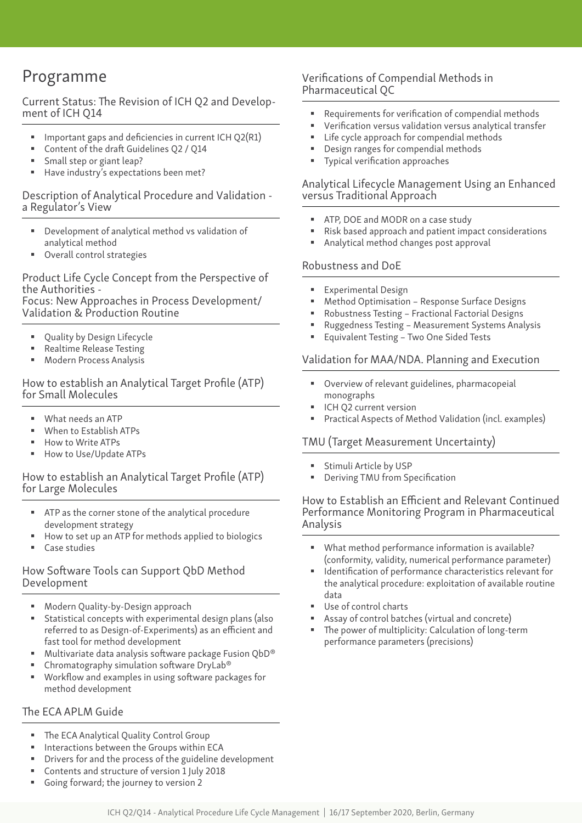# Programme

Current Status: The Revision of ICH Q2 and Development of ICH Q14

- Important gaps and deficiencies in current ICH Q2(R1)
- Content of the draft Guidelines Q2 / Q14
- Small step or giant leap?
- Have industry's expectations been met?

#### Description of Analytical Procedure and Validation a Regulator's View

- Development of analytical method vs validation of analytical method
- Overall control strategies

Product Life Cycle Concept from the Perspective of the Authorities -

Focus: New Approaches in Process Development/ Validation & Production Routine

- Quality by Design Lifecycle
- **Realtime Release Testing**
- Modern Process Analysis

How to establish an Analytical Target Profile (ATP) for Small Molecules

- What needs an ATP
- When to Establish ATPs
- How to Write ATPs
- How to Use/Update ATPs

#### How to establish an Analytical Target Profile (ATP) for Large Molecules

- ATP as the corner stone of the analytical procedure development strategy
- How to set up an ATP for methods applied to biologics
- Case studies

#### How Software Tools can Support QbD Method Development

- Modern Quality-by-Design approach
- Statistical concepts with experimental design plans (also referred to as Design-of-Experiments) as an efficient and fast tool for method development
- Multivariate data analysis software package Fusion QbD®
- **EXP** Chromatography simulation software DryLab®
- Workflow and examples in using software packages for method development

### The ECA APLM Guide

- The ECA Analytical Quality Control Group
- Interactions between the Groups within ECA
- Drivers for and the process of the guideline development
- Contents and structure of version 1 July 2018
- Going forward; the journey to version 2

### Verifications of Compendial Methods in Pharmaceutical QC

- Requirements for verification of compendial methods
- Verification versus validation versus analytical transfer
- Life cycle approach for compendial methods
- Design ranges for compendial methods
- **Typical verification approaches**

#### Analytical Lifecycle Management Using an Enhanced versus Traditional Approach

- ATP, DOE and MODR on a case study
- Risk based approach and patient impact considerations
- Analytical method changes post approval

#### Robustness and DoE

- **Experimental Design**
- Method Optimisation Response Surface Designs
- Robustness Testing Fractional Factorial Designs
- Ruggedness Testing Measurement Systems Analysis
- **Equivalent Testing Two One Sided Tests**

#### Validation for MAA/NDA. Planning and Execution

- Overview of relevant guidelines, pharmacopeial monographs
- ICH Q2 current version
- Practical Aspects of Method Validation (incl. examples)

#### TMU (Target Measurement Uncertainty)

- Stimuli Article by USP
- Deriving TMU from Specification

#### How to Establish an Efficient and Relevant Continued Performance Monitoring Program in Pharmaceutical Analysis

- What method performance information is available? (conformity, validity, numerical performance parameter)
- Identification of performance characteristics relevant for the analytical procedure: exploitation of available routine data
- Use of control charts
- Assay of control batches (virtual and concrete)
- The power of multiplicity: Calculation of long-term performance parameters (precisions)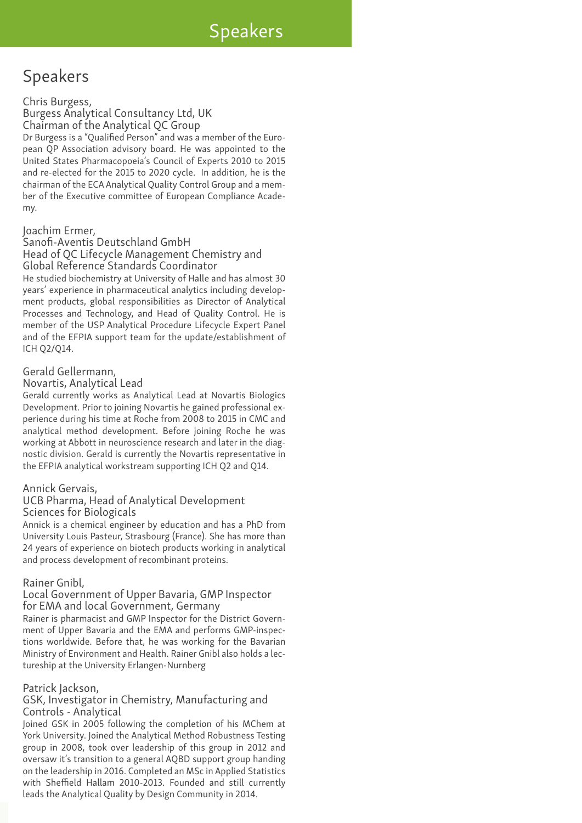# Speakers

## Speakers

#### Chris Burgess,

Burgess Analytical Consultancy Ltd, UK Chairman of the Analytical QC Group Dr Burgess is a "Qualified Person" and was a member of the European QP Association advisory board. He was appointed to the United States Pharmacopoeia's Council of Experts 2010 to 2015 and re-elected for the 2015 to 2020 cycle. In addition, he is the chairman of the ECA Analytical Quality Control Group and a member of the Executive committee of European Compliance Academy.

#### Joachim Ermer,

#### Sanofi-Aventis Deutschland GmbH Head of QC Lifecycle Management Chemistry and Global Reference Standards Coordinator

He studied biochemistry at University of Halle and has almost 30 years' experience in pharmaceutical analytics including development products, global responsibilities as Director of Analytical Processes and Technology, and Head of Quality Control. He is member of the USP Analytical Procedure Lifecycle Expert Panel and of the EFPIA support team for the update/establishment of ICH Q2/Q14.

#### Gerald Gellermann,

#### Novartis, Analytical Lead

Gerald currently works as Analytical Lead at Novartis Biologics Development. Prior to joining Novartis he gained professional experience during his time at Roche from 2008 to 2015 in CMC and analytical method development. Before joining Roche he was working at Abbott in neuroscience research and later in the diagnostic division. Gerald is currently the Novartis representative in the EFPIA analytical workstream supporting ICH Q2 and Q14.

#### Annick Gervais,

#### UCB Pharma, Head of Analytical Development Sciences for Biologicals

Annick is a chemical engineer by education and has a PhD from University Louis Pasteur, Strasbourg (France). She has more than 24 years of experience on biotech products working in analytical and process development of recombinant proteins.

#### Rainer Gnibl,

#### Local Government of Upper Bavaria, GMP Inspector for EMA and local Government, Germany

Rainer is pharmacist and GMP Inspector for the District Government of Upper Bavaria and the EMA and performs GMP-inspections worldwide. Before that, he was working for the Bavarian Ministry of Environment and Health. Rainer Gnibl also holds a lectureship at the University Erlangen-Nurnberg

#### Patrick Jackson,

#### GSK, Investigator in Chemistry, Manufacturing and Controls - Analytical

Joined GSK in 2005 following the completion of his MChem at York University. Joined the Analytical Method Robustness Testing group in 2008, took over leadership of this group in 2012 and oversaw it's transition to a general AQBD support group handing on the leadership in 2016. Completed an MSc in Applied Statistics with Sheffield Hallam 2010-2013. Founded and still currently leads the Analytical Quality by Design Community in 2014.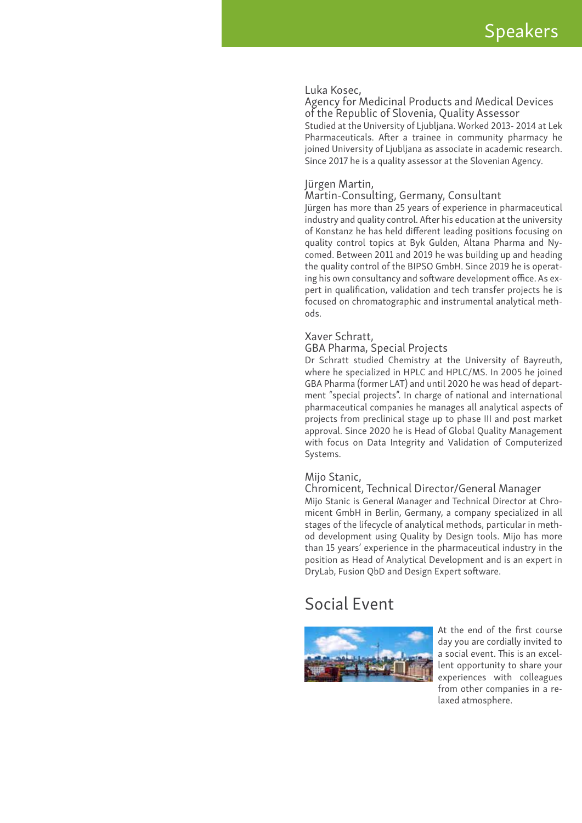#### Luka Kosec,

Agency for Medicinal Products and Medical Devices of the Republic of Slovenia, Quality Assessor Studied at the University of Ljubljana. Worked 2013- 2014 at Lek Pharmaceuticals. After a trainee in community pharmacy he joined University of Ljubljana as associate in academic research. Since 2017 he is a quality assessor at the Slovenian Agency.

#### Jürgen Martin,

#### Martin-Consulting, Germany, Consultant

Jürgen has more than 25 years of experience in pharmaceutical industry and quality control. After his education at the university of Konstanz he has held different leading positions focusing on quality control topics at Byk Gulden, Altana Pharma and Nycomed. Between 2011 and 2019 he was building up and heading the quality control of the BIPSO GmbH. Since 2019 he is operating his own consultancy and software development office. As expert in qualification, validation and tech transfer projects he is focused on chromatographic and instrumental analytical methods.

#### Xaver Schratt,

#### GBA Pharma, Special Projects

Dr Schratt studied Chemistry at the University of Bayreuth, where he specialized in HPLC and HPLC/MS. In 2005 he joined GBA Pharma (former LAT) and until 2020 he was head of department "special projects". In charge of national and international pharmaceutical companies he manages all analytical aspects of projects from preclinical stage up to phase III and post market approval. Since 2020 he is Head of Global Quality Management with focus on Data Integrity and Validation of Computerized Systems.

#### Mijo Stanic,

#### Chromicent, Technical Director/General Manager

Mijo Stanic is General Manager and Technical Director at Chromicent GmbH in Berlin, Germany, a company specialized in all stages of the lifecycle of analytical methods, particular in method development using Quality by Design tools. Mijo has more than 15 years' experience in the pharmaceutical industry in the position as Head of Analytical Development and is an expert in DryLab, Fusion QbD and Design Expert software.

### Social Event



At the end of the first course day you are cordially invited to a social event. This is an excellent opportunity to share your experiences with colleagues from other companies in a relaxed atmosphere.